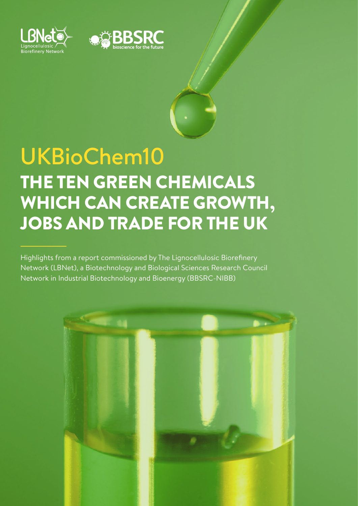



# UKBioChem10 THE TEN GREEN CHEMICALS WHICH CAN CREATE GROWTH, JOBS AND TRADE FOR THE UK

Highlights from a report commissioned by The Lignocellulosic Biorefinery Network (LBNet), a Biotechnology and Biological Sciences Research Council Network in Industrial Biotechnology and Bioenergy (BBSRC-NIBB)

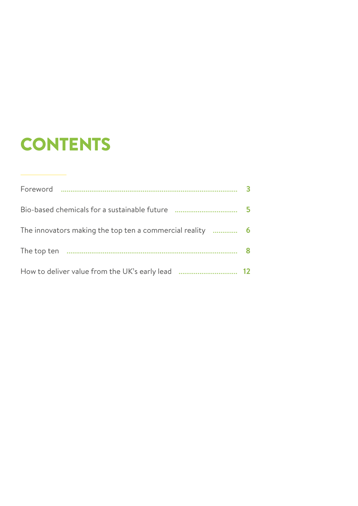## **CONTENTS**

|                                                        | $\overline{\phantom{a}}$ |
|--------------------------------------------------------|--------------------------|
| The innovators making the top ten a commercial reality | 6                        |
|                                                        |                          |
| How to deliver value from the UK's early lead          | 12                       |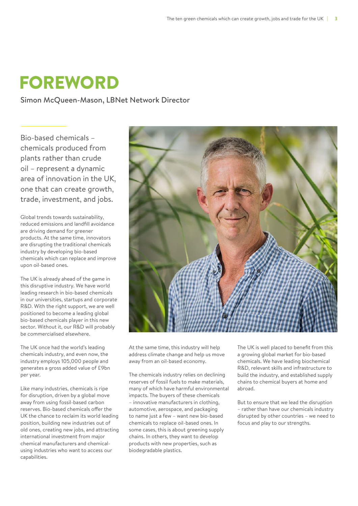### FOREWORD

Simon McQueen-Mason, LBNet Network Director

Bio-based chemicals – chemicals produced from plants rather than crude oil – represent a dynamic area of innovation in the UK, one that can create growth, trade, investment, and jobs.

Global trends towards sustainability, reduced emissions and landfill avoidance are driving demand for greener products. At the same time, innovators are disrupting the traditional chemicals industry by developing bio-based chemicals which can replace and improve upon oil-based ones.

The UK is already ahead of the game in this disruptive industry. We have world leading research in bio-based chemicals in our universities, startups and corporate R&D. With the right support, we are well positioned to become a leading global bio-based chemicals player in this new sector. Without it, our R&D will probably be commercialised elsewhere.

The UK once had the world's leading chemicals industry, and even now, the industry employs 105,000 people and generates a gross added value of £9bn per year.

Like many industries, chemicals is ripe for disruption, driven by a global move away from using fossil-based carbon reserves. Bio-based chemicals offer the UK the chance to reclaim its world leading position, building new industries out of old ones, creating new jobs, and attracting international investment from major chemical manufacturers and chemicalusing industries who want to access our capabilities.



At the same time, this industry will help address climate change and help us move away from an oil-based economy.

The chemicals industry relies on declining reserves of fossil fuels to make materials, many of which have harmful environmental impacts. The buyers of these chemicals – innovative manufacturers in clothing, automotive, aerospace, and packaging to name just a few – want new bio-based chemicals to replace oil-based ones. In some cases, this is about greening supply chains. In others, they want to develop products with new properties, such as biodegradable plastics.

The UK is well placed to benefit from this a growing global market for bio-based chemicals. We have leading biochemical R&D, relevant skills and infrastructure to build the industry, and established supply chains to chemical buyers at home and abroad.

But to ensure that we lead the disruption – rather than have our chemicals industry disrupted by other countries – we need to focus and play to our strengths.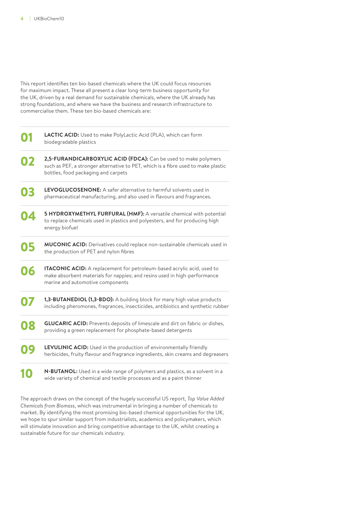This report identifies ten bio-based chemicals where the UK could focus resources for maximum impact. These all present a clear long-term business opportunity for the UK, driven by a real demand for sustainable chemicals, where the UK already has strong foundations, and where we have the business and research infrastructure to commercialise them. These ten bio-based chemicals are:

|    | LACTIC ACID: Used to make PolyLactic Acid (PLA), which can form<br>biodegradable plastics                                                                                                   |
|----|---------------------------------------------------------------------------------------------------------------------------------------------------------------------------------------------|
| 02 | 2,5-FURANDICARBOXYLIC ACID (FDCA): Can be used to make polymers<br>such as PEF, a stronger alternative to PET, which is a fibre used to make plastic<br>bottles, food packaging and carpets |
| 03 | LEVOGLUCOSENONE: A safer alternative to harmful solvents used in<br>pharmaceutical manufacturing, and also used in flavours and fragrances.                                                 |
| 04 | 5 HYDROXYMETHYL FURFURAL (HMF): A versatile chemical with potential<br>to replace chemicals used in plastics and polyesters, and for producing high<br>energy biofuel                       |
| 05 | MUCONIC ACID: Derivatives could replace non-sustainable chemicals used in<br>the production of PET and nylon fibres                                                                         |
| 06 | ITACONIC ACID: A replacement for petroleum-based acrylic acid, used to<br>make absorbent materials for nappies; and resins used in high-performance<br>marine and automotive components     |
| 07 | 1,3-BUTANEDIOL (1,3-BDO): A building block for many high value products<br>including pheromones, fragrances, insecticides, antibiotics and synthetic rubber                                 |
| 08 | <b>GLUCARIC ACID:</b> Prevents deposits of limescale and dirt on fabric or dishes,<br>providing a green replacement for phosphate-based detergents                                          |
| 09 | LEVULINIC ACID: Used in the production of environmentally friendly<br>herbicides, fruity flavour and fragrance ingredients, skin creams and degreasers                                      |
|    | N-BUTANOL: Used in a wide range of polymers and plastics, as a solvent in a<br>wide variety of chemical and textile processes and as a paint thinner                                        |

The approach draws on the concept of the hugely successful US report, *Top Value Added Chemicals from Biomas*s, which was instrumental in bringing a number of chemicals to market. By identifying the most promising bio-based chemical opportunities for the UK, we hope to spur similar support from industrialists, academics and policymakers, which will stimulate innovation and bring competitive advantage to the UK, whilst creating a sustainable future for our chemicals industry.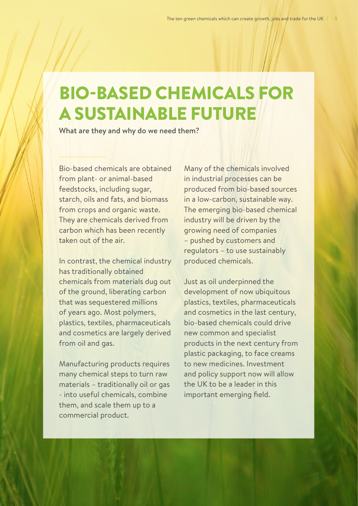### BIO-BASED CHEMICALS FOR A SUSTAINABLE FUTURE

What are they and why do we need them?

Bio-based chemicals are obtained from plant- or animal-based feedstocks, including sugar, starch, oils and fats, and biomass from crops and organic waste. They are chemicals derived from carbon which has been recently taken out of the air.

In contrast, the chemical industry has traditionally obtained chemicals from materials dug out of the ground, liberating carbon that was sequestered millions of years ago. Most polymers, plastics, textiles, pharmaceuticals and cosmetics are largely derived from oil and gas.

Manufacturing products requires many chemical steps to turn raw materials – traditionally oil or gas - into useful chemicals, combine them, and scale them up to a commercial product.

Many of the chemicals involved in industrial processes can be produced from bio-based sources in a low-carbon, sustainable way. The emerging bio-based chemical industry will be driven by the growing need of companies – pushed by customers and regulators – to use sustainably produced chemicals.

Just as oil underpinned the development of now ubiquitous plastics, textiles, pharmaceuticals and cosmetics in the last century, bio-based chemicals could drive new common and specialist products in the next century from plastic packaging, to face creams to new medicines. Investment and policy support now will allow the UK to be a leader in this important emerging field.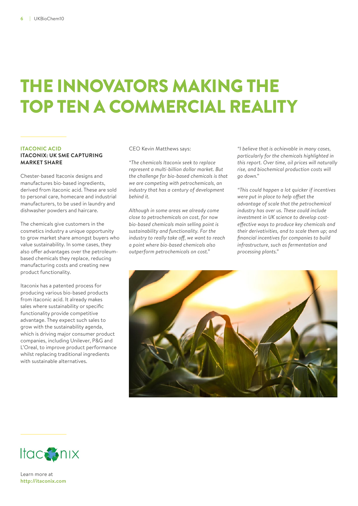## THE INNOVATORS MAKING THE TOP TEN A COMMERCIAL REALITY

### **ITACONIC ACID**

### **ITACONIX: UK SME CAPTURING MARKET SHARE**

Chester-based Itaconix designs and manufactures bio-based ingredients, derived from itaconic acid. These are sold to personal care, homecare and industrial manufacturers, to be used in laundry and dishwasher powders and haircare.

The chemicals give customers in the cosmetics industry a unique opportunity to grow market share amongst buyers who value sustainability. In some cases, they also offer advantages over the petroleumbased chemicals they replace, reducing manufacturing costs and creating new product functionality.

Itaconix has a patented process for producing various bio-based products from itaconic acid. It already makes sales where sustainability or specific functionality provide competitive advantage. They expect such sales to grow with the sustainability agenda, which is driving major consumer product companies, including Unilever, P&G and L'Oreal, to improve product performance whilst replacing traditional ingredients with sustainable alternatives.

CEO Kevin Matthews says:

*"The chemicals Itaconix seek to replace represent a multi-billion dollar market. But the challenge for bio-based chemicals is that we are competing with petrochemicals, an industry that has a century of development behind it.*

*Although in some areas we already come close to petrochemicals on cost, for now bio-based chemicals main selling point is sustainability and functionality. For the industry to really take off, we want to reach a point where bio-based chemicals also outperform petrochemicals on cost."*

*"I believe that is achievable in many cases, particularly for the chemicals highlighted in this report. Over time, oil prices will naturally rise, and biochemical production costs will go down."* 

*"This could happen a lot quicker if incentives were put in place to help offset the advantage of scale that the petrochemical industry has over us. These could include investment in UK science to develop costeffective ways to produce key chemicals and their derivativities, and to scale them up; and financial incentives for companies to build infrastructure, such as fermentation and processing plants."*





Learn more at **<http://itaconix.com>**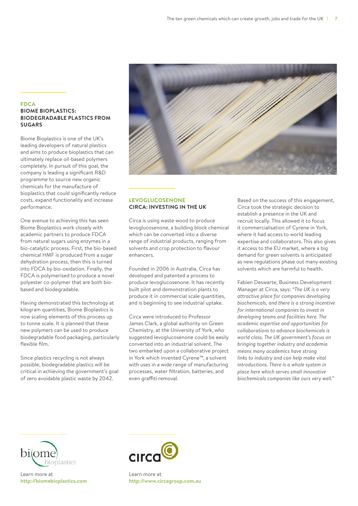#### **FDCA BIOME BIOPLASTICS: BIODEGRADABLE PLASTICS FROM SUGARS**

Biome Bioplastics is one of the UK's leading developers of natural plastics and aims to produce bioplastics that can ultimately replace oil-based polymers completely. In pursuit of this goal, the company is leading a significant R&D programme to source new organic chemicals for the manufacture of bioplastics that could significantly reduce costs, expand functionality and increase performance.

One avenue to achieving this has seen Biome Bioplastics work closely with academic partners to produce FDCA from natural sugars using enzymes in a bio-catalytic process. First, the bio-based chemical HMF is produced from a sugar dehydration process, then this is turned into FDCA by bio-oxidation. Finally, the FDCA is polymerised to produce a novel polyester co-polymer that are both biobased and biodegradable.

Having demonstrated this technology at kilogram quantities, Biome Bioplastics is now scaling elements of this process up to tonne scale. It is planned that these new polymers can be used to produce biodegradable food packaging, particularly flexible film.

Since plastics recycling is not always possible, biodegradable plastics will be critical in achieving the government's goal of zero avoidable plastic waste by 2042.



### **LEVOGLUCOSENONE CIRCA: INVESTING IN THE UK**

Circa is using waste wood to produce levoglucosenone, a building block chemical which can be converted into a diverse range of industrial products, ranging from solvents and crop protection to flavour enhancers.

Founded in 2006 in Australia, Circa has developed and patented a process to produce levoglucosenone. It has recently built pilot and demonstration plants to produce it in commercial scale quantities, and is beginning to see industrial uptake.

Circa were introduced to Professor James Clark, a global authority on Green Chemistry, at the University of York, who suggested levoglucosenone could be easily converted into an industrial solvent. The two embarked upon a collaborative project in York which invented Cyrene™, a solvent with uses in a wide range of manufacturing processes, water filtration, batteries, and even graffiti removal.

Based on the success of this engagement, Circa took the strategic decision to establish a presence in the UK and recruit locally. This allowed it to focus it commercialisation of Cyrene in York, where it had access to world leading expertise and collaborators. This also gives it access to the EU market, where a big demand for green solvents is anticipated as new regulations phase out many existing solvents which are harmful to health.

Fabien Deswarte, Business Development Manager at Circa, says: *"The UK is a very attractive place for companies developing biochemicals, and there is a strong incentive for international companies to invest in developing teams and facilities here. The academic expertise and opportunities for collaborations to advance biochemicals is world class. The UK government's focus on bringing together industry and academia means many academics have strong links to industry and can help make vital introductions. There is a whole system in place here which serves small innovative biochemicals companies like ours very well."*



Learn more at **<http://biomebioplastics.com>**



Learn more at **<http://www.circagroup.com.au>**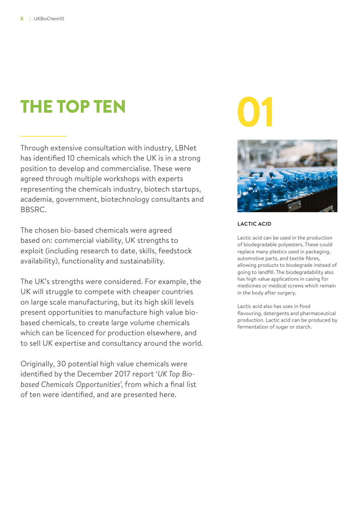### **01** THE TOP TEN

Through extensive consultation with industry, LBNet has identified 10 chemicals which the UK is in a strong position to develop and commercialise. These were agreed through multiple workshops with experts representing the chemicals industry, biotech startups, academia, government, biotechnology consultants and BBSRC.

The chosen bio-based chemicals were agreed based on: commercial viability, UK strengths to exploit (including research to date, skills, feedstock availability), functionality and sustainability.

The UK's strengths were considered. For example, the UK will struggle to compete with cheaper countries on large scale manufacturing, but its high skill levels present opportunities to manufacture high value biobased chemicals, to create large volume chemicals which can be licenced for production elsewhere, and to sell UK expertise and consultancy around the world.

Originally, 30 potential high value chemicals were identified by the December 2017 report '*UK Top Biobased Chemicals Opportunities*', from which a final list of ten were identified, and are presented here.



### **LACTIC ACID**

Lactic acid can be used in the production of biodegradable polyesters. These could replace many plastics used in packaging, automotive parts, and textile fibres, allowing products to biodegrade instead of going to landfill. The biodegradability also has high value applications in casing for medicines or medical screws which remain in the body after surgery.

Lactic acid also has uses in food flavouring, detergents and pharmaceutical production. Lactic acid can be produced by fermentation of sugar or starch.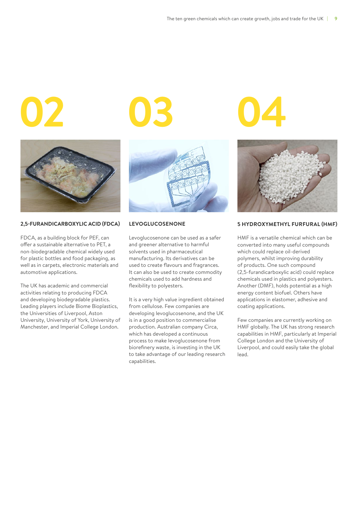

#### **2,5-FURANDICARBOXYLIC ACID (FDCA)**

FDCA, as a building block for PEF, can offer a sustainable alternative to PET, a non-biodegradable chemical widely used for plastic bottles and food packaging, as well as in carpets, electronic materials and automotive applications.

The UK has academic and commercial activities relating to producing FDCA and developing biodegradable plastics. Leading players include Biome Bioplastics, the Universities of Liverpool, Aston University, University of York, University of Manchester, and Imperial College London.

**02 03 04**



#### **LEVOGLUCOSENONE**

Levoglucosenone can be used as a safer and greener alternative to harmful solvents used in pharmaceutical manufacturing. Its derivatives can be used to create flavours and fragrances. It can also be used to create commodity chemicals used to add hardness and flexibility to polyesters.

It is a very high value ingredient obtained from cellulose. Few companies are developing levoglucosenone, and the UK is in a good position to commercialise production. Australian company Circa, which has developed a continuous process to make levoglucosenone from biorefinery waste, is investing in the UK to take advantage of our leading research capabilities.



#### **5 HYDROXYMETHYL FURFURAL (HMF)**

HMF is a versatile chemical which can be converted into many useful compounds which could replace oil-derived polymers, whilst improving durability of products. One such compound (2,5-furandicarboxylic acid) could replace chemicals used in plastics and polyesters. Another (DMF), holds potential as a high energy content biofuel. Others have applications in elastomer, adhesive and coating applications.

Few companies are currently working on HMF globally. The UK has strong research capabilities in HMF, particularly at Imperial College London and the University of Liverpool, and could easily take the global lead.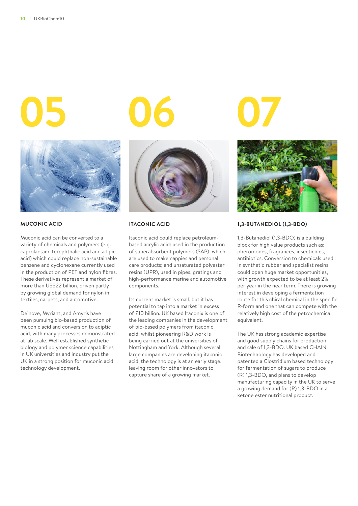

### **MUCONIC ACID**

Muconic acid can be converted to a variety of chemicals and polymers (e.g. caprolactam, terephthalic acid and adipic acid) which could replace non-sustainable benzene and cyclohexane currently used in the production of PET and nylon fibres. These derivatives represent a market of more than US\$22 billion, driven partly by growing global demand for nylon in textiles, carpets, and automotive.

Deinove, Myriant, and Amyris have been pursuing bio-based production of muconic acid and conversion to adiptic acid, with many processes demonstrated at lab scale. Well established synthetic biology and polymer science capabilities in UK universities and industry put the UK in a strong position for muconic acid technology development.





#### **ITACONIC ACID**

Itaconic acid could replace petroleumbased acrylic acid: used in the production of superabsorbent polymers (SAP), which are used to make nappies and personal care products; and unsaturated polyester resins (UPR), used in pipes, gratings and high-performance marine and automotive components.

Its current market is small, but it has potential to tap into a market in excess of £10 billion. UK based Itaconix is one of the leading companies in the development of bio-based polymers from itaconic acid, whilst pioneering R&D work is being carried out at the universities of Nottingham and York. Although several large companies are developing itaconic acid, the technology is at an early stage, leaving room for other innovators to capture share of a growing market.



#### **1,3-BUTANEDIOL (1,3-BDO)**

1,3-Butanediol (1,3-BDO) is a building block for high value products such as: pheromones, fragrances, insecticides, antibiotics. Conversion to chemicals used in synthetic rubber and specialist resins could open huge market opportunities, with growth expected to be at least 2% per year in the near term. There is growing interest in developing a fermentation route for this chiral chemical in the specific R-form and one that can compete with the relatively high cost of the petrochemical equivalent.

The UK has strong academic expertise and good supply chains for production and sale of 1,3-BDO. UK based CHAIN Biotechnology has developed and patented a Clostridium based technology for fermentation of sugars to produce (R) 1,3-BDO, and plans to develop manufacturing capacity in the UK to serve a growing demand for (R) 1,3-BDO in a ketone ester nutritional product.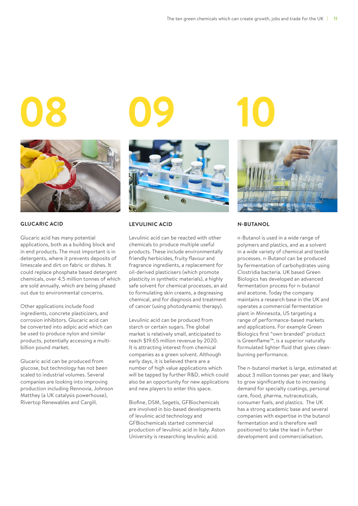

#### **GLUCARIC ACID**

Glucaric acid has many potential applications, both as a building block and in end products. The most important is in detergents, where it prevents deposits of limescale and dirt on fabric or dishes. It could replace phosphate based detergent chemicals, over 4.5 million tonnes of which are sold annually, which are being phased out due to environmental concerns.

Other applications include food ingredients, concrete plasticizers, and corrosion inhibitors. Glucaric acid can be converted into adipic acid which can be used to produce nylon and similar products, potentially accessing a multibillion pound market.

Glucaric acid can be produced from glucose, but technology has not been scaled to industrial volumes. Several companies are looking into improving production including Rennovia, Johnson Matthey (a UK catalysis powerhouse), Rivertop Renewables and Cargill.





#### **LEVULINIC ACID**

Levulinic acid can be reacted with other chemicals to produce multiple useful products. These include environmentally friendly herbicides, fruity flavour and fragrance ingredients, a replacement for oil-derived plasticisers (which promote plasticity in synthetic materials), a highly safe solvent for chemical processes, an aid to formulating skin creams, a degreasing chemical, and for diagnosis and treatment of cancer (using photodynamic therapy).

Levulinic acid can be produced from starch or certain sugars. The global market is relatively small, anticipated to reach \$19.65 million revenue by 2020. It is attracting interest from chemical companies as a green solvent. Although early days, it is believed there are a number of high value applications which will be tapped by further R&D, which could also be an opportunity for new applications and new players to enter this space.

Biofine, DSM, Segetis, GFBiochemicals are involved in bio-based developments of levulinic acid technology and GFBiochemicals started commercial production of levulinic acid in Italy. Aston University is researching levulinic acid.



#### **N-BUTANOL**

n-Butanol is used in a wide range of polymers and plastics, and as a solvent in a wide variety of chemical and textile processes. n-Butanol can be produced by fermentation of carbohydrates using Clostridia bacteria. UK based Green Biologics has developed an advanced fermentation process for n-butanol and acetone. Today the company maintains a research base in the UK and operates a commercial fermentation plant in Minnesota, US targeting a range of performance-based markets and applications. For example Green Biologics first "own branded" product is Greenflame™, is a superior naturally formulated lighter fluid that gives cleanburning performance.

The n-butanol market is large, estimated at about 3 million tonnes per year, and likely to grow significantly due to increasing demand for specialty coatings, personal care, food, pharma, nutraceuticals, consumer fuels, and plastics. The UK has a strong academic base and several companies with expertise in the butanol fermentation and is therefore well positioned to take the lead in further development and commercialisation.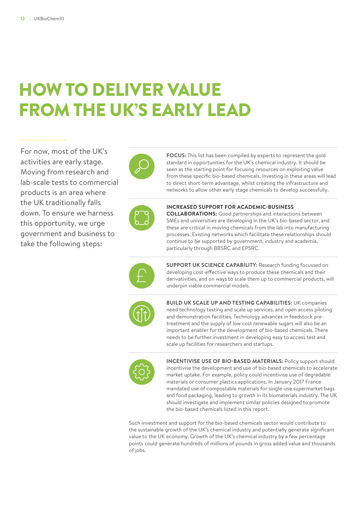## HOW TO DELIVER VALUE FROM THE UK'S EARLY LEAD

For now, most of the UK's activities are early stage. Moving from research and lab-scale tests to commercial products is an area where the UK traditionally falls down. To ensure we harness this opportunity, we urge government and business to take the following steps:



**FOCUS:** This list has been compiled by experts to represent the gold standard in opportunities for the UK's chemical industry. It should be seen as the starting point for focusing resources on exploiting value from these specific bio-based chemicals. Investing in these areas will lead to direct short-term advantage, whilst creating the infrastructure and networks to allow other early stage chemicals to develop successfully.



**INCREASED SUPPORT FOR ACADEMIC-BUSINESS COLLABORATIONS:** Good partnerships and interactions between SMEs and universities are developing in the UK's bio-based sector, and these are critical in moving chemicals from the lab into manufacturing processes. Existing networks which facilitate these relationships should continue to be supported by government, industry and academia,

particularly through BBSRC and EPSRC.



**SUPPORT UK SCIENCE CAPABILITY:** Research funding focussed on developing cost-effective ways to produce these chemicals and their derivativities, and on ways to scale them up to commercial products, will underpin viable commercial models.



**BUILD UK SCALE UP AND TESTING CAPABILITIES:** UK companies need technology testing and scale up services, and open access piloting and demonstration facilities. Technology advances in feedstock pretreatment and the supply of low cost renewable sugars will also be an important enabler for the development of bio-based chemicals. There needs to be further investment in developing easy to access test and scale up facilities for researchers and startups.



**INCENTIVISE USE OF BIO-BASED MATERIALS:** Policy support should incentivise the development and use of bio-based chemicals to accelerate market uptake. For example, policy could incentivise use of degradable materials or consumer plastics applications. In January 2017 France mandated use of compostable materials for single-use supermarket bags and food packaging, leading to growth in its biomaterials industry. The UK should investigate and implement similar policies designed to promote the bio-based chemicals listed in this report.

Such investment and support for the bio-based chemicals sector would contribute to the sustainable growth of the UK's chemical industry and potentially generate significant value to the UK economy. Growth of the UK's chemical industry by a few percentage points could generate hundreds of millions of pounds in gross added value and thousands of jobs.